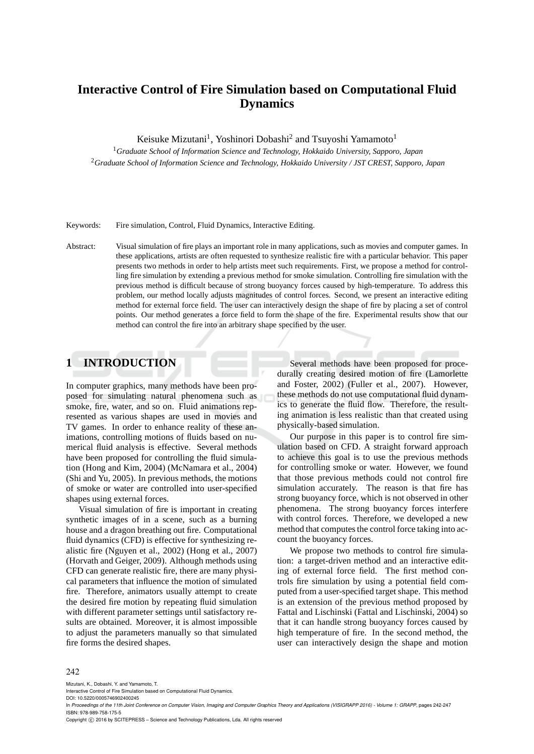# **Interactive Control of Fire Simulation based on Computational Fluid Dynamics**

Keisuke Mizutani<sup>1</sup>, Yoshinori Dobashi<sup>2</sup> and Tsuyoshi Yamamoto<sup>1</sup>

<sup>1</sup>*Graduate School of Information Science and Technology, Hokkaido University, Sapporo, Japan* <sup>2</sup>*Graduate School of Information Science and Technology, Hokkaido University / JST CREST, Sapporo, Japan*

Keywords: Fire simulation, Control, Fluid Dynamics, Interactive Editing.

Abstract: Visual simulation of fire plays an important role in many applications, such as movies and computer games. In these applications, artists are often requested to synthesize realistic fire with a particular behavior. This paper presents two methods in order to help artists meet such requirements. First, we propose a method for controlling fire simulation by extending a previous method for smoke simulation. Controlling fire simulation with the previous method is difficult because of strong buoyancy forces caused by high-temperature. To address this problem, our method locally adjusts magnitudes of control forces. Second, we present an interactive editing method for external force field. The user can interactively design the shape of fire by placing a set of control points. Our method generates a force field to form the shape of the fire. Experimental results show that our method can control the fire into an arbitrary shape specified by the user.

### **1 INTRODUCTION**

In computer graphics, many methods have been proposed for simulating natural phenomena such as smoke, fire, water, and so on. Fluid animations represented as various shapes are used in movies and TV games. In order to enhance reality of these animations, controlling motions of fluids based on numerical fluid analysis is effective. Several methods have been proposed for controlling the fluid simulation (Hong and Kim, 2004) (McNamara et al., 2004) (Shi and Yu, 2005). In previous methods, the motions of smoke or water are controlled into user-specified shapes using external forces.

Visual simulation of fire is important in creating synthetic images of in a scene, such as a burning house and a dragon breathing out fire. Computational fluid dynamics (CFD) is effective for synthesizing realistic fire (Nguyen et al., 2002) (Hong et al., 2007) (Horvath and Geiger, 2009). Although methods using CFD can generate realistic fire, there are many physical parameters that influence the motion of simulated fire. Therefore, animators usually attempt to create the desired fire motion by repeating fluid simulation with different parameter settings until satisfactory results are obtained. Moreover, it is almost impossible to adjust the parameters manually so that simulated fire forms the desired shapes.

Several methods have been proposed for procedurally creating desired motion of fire (Lamorlette and Foster, 2002) (Fuller et al., 2007). However, these methods do not use computational fluid dynamics to generate the fluid flow. Therefore, the resulting animation is less realistic than that created using physically-based simulation.

Our purpose in this paper is to control fire simulation based on CFD. A straight forward approach to achieve this goal is to use the previous methods for controlling smoke or water. However, we found that those previous methods could not control fire simulation accurately. The reason is that fire has strong buoyancy force, which is not observed in other phenomena. The strong buoyancy forces interfere with control forces. Therefore, we developed a new method that computes the control force taking into account the buoyancy forces.

We propose two methods to control fire simulation: a target-driven method and an interactive editing of external force field. The first method controls fire simulation by using a potential field computed from a user-specified target shape. This method is an extension of the previous method proposed by Fattal and Lischinski (Fattal and Lischinski, 2004) so that it can handle strong buoyancy forces caused by high temperature of fire. In the second method, the user can interactively design the shape and motion

#### 242

Mizutani, K., Dobashi, Y. and Yamamoto, T.

Interactive Control of Fire Simulation based on Computational Fluid Dynamics.

DOI: 10.5220/0005746902400245

In *Proceedings of the 11th Joint Conference on Computer Vision, Imaging and Computer Graphics Theory and Applications (VISIGRAPP 2016) - Volume 1: GRAPP*, pages 242-247 ISBN: 978-989-758-175-5

Copyright © 2016 by SCITEPRESS - Science and Technology Publications, Lda. All rights reserved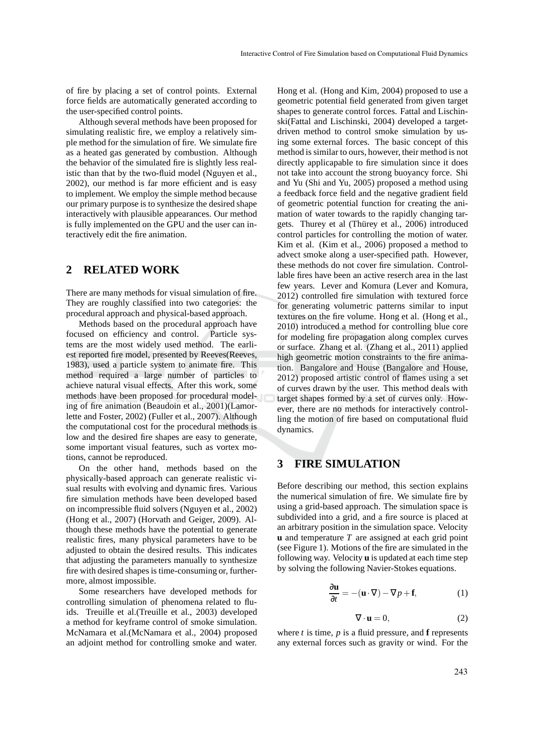of fire by placing a set of control points. External force fields are automatically generated according to the user-specified control points.

Although several methods have been proposed for simulating realistic fire, we employ a relatively simple method for the simulation of fire. We simulate fire as a heated gas generated by combustion. Although the behavior of the simulated fire is slightly less realistic than that by the two-fluid model (Nguyen et al., 2002), our method is far more efficient and is easy to implement. We employ the simple method because our primary purpose is to synthesize the desired shape interactively with plausible appearances. Our method is fully implemented on the GPU and the user can interactively edit the fire animation.

### **2 RELATED WORK**

There are many methods for visual simulation of fire. They are roughly classified into two categories: the procedural approach and physical-based approach.

Methods based on the procedural approach have focused on efficiency and control. Particle systems are the most widely used method. The earliest reported fire model, presented by Reeves(Reeves, 1983), used a particle system to animate fire. This method required a large number of particles to achieve natural visual effects. After this work, some methods have been proposed for procedural modeling of fire animation (Beaudoin et al., 2001)(Lamorlette and Foster, 2002) (Fuller et al., 2007). Although the computational cost for the procedural methods is low and the desired fire shapes are easy to generate, some important visual features, such as vortex motions, cannot be reproduced.

On the other hand, methods based on the physically-based approach can generate realistic visual results with evolving and dynamic fires. Various fire simulation methods have been developed based on incompressible fluid solvers (Nguyen et al., 2002) (Hong et al., 2007) (Horvath and Geiger, 2009). Although these methods have the potential to generate realistic fires, many physical parameters have to be adjusted to obtain the desired results. This indicates that adjusting the parameters manually to synthesize fire with desired shapes is time-consuming or, furthermore, almost impossible.

Some researchers have developed methods for controlling simulation of phenomena related to fluids. Treuille et al.(Treuille et al., 2003) developed a method for keyframe control of smoke simulation. McNamara et al.(McNamara et al., 2004) proposed an adjoint method for controlling smoke and water.

Hong et al. (Hong and Kim, 2004) proposed to use a geometric potential field generated from given target shapes to generate control forces. Fattal and Lischinski(Fattal and Lischinski, 2004) developed a targetdriven method to control smoke simulation by using some external forces. The basic concept of this method is similar to ours, however, their method is not directly applicapable to fire simulation since it does not take into account the strong buoyancy force. Shi and Yu (Shi and Yu, 2005) proposed a method using a feedback force field and the negative gradient field of geometric potential function for creating the animation of water towards to the rapidly changing targets. Thurey et al (Thürey et al., 2006) introduced control particles for controlling the motion of water. Kim et al. (Kim et al., 2006) proposed a method to advect smoke along a user-specified path. However, these methods do not cover fire simulation. Controllable fires have been an active reserch area in the last few years. Lever and Komura (Lever and Komura, 2012) controlled fire simulation with textured force for generating volumetric patterns similar to input textures on the fire volume. Hong et al. (Hong et al., 2010) introduced a method for controlling blue core for modeling fire propagation along complex curves or surface. Zhang et al. (Zhang et al., 2011) applied high geometric motion constraints to the fire animation. Bangalore and House (Bangalore and House, 2012) proposed artistic control of flames using a set of curves drawn by the user. This method deals with target shapes formed by a set of curves only. However, there are no methods for interactively controlling the motion of fire based on computational fluid dynamics.

### **3 FIRE SIMULATION**

Before describing our method, this section explains the numerical simulation of fire. We simulate fire by using a grid-based approach. The simulation space is subdivided into a grid, and a fire source is placed at an arbitrary position in the simulation space. Velocity **u** and temperature *T* are assigned at each grid point (see Figure 1). Motions of the fire are simulated in the following way. Velocity **u** is updated at each time step by solving the following Navier-Stokes equations.

$$
\frac{\partial \mathbf{u}}{\partial t} = -(\mathbf{u} \cdot \nabla) - \nabla p + \mathbf{f},\tag{1}
$$

$$
\nabla \cdot \mathbf{u} = 0,\tag{2}
$$

where  $t$  is time,  $p$  is a fluid pressure, and **f** represents any external forces such as gravity or wind. For the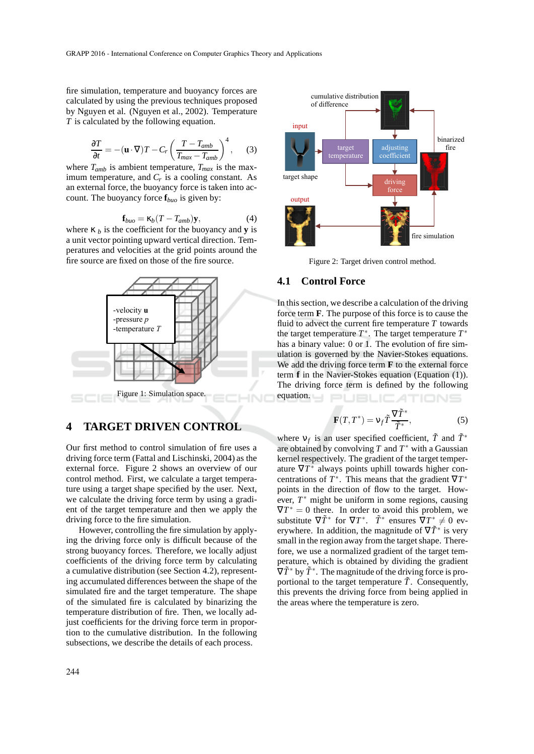fire simulation, temperature and buoyancy forces are calculated by using the previous techniques proposed by Nguyen et al. (Nguyen et al., 2002). Temperature *T* is calculated by the following equation.

$$
\frac{\partial T}{\partial t} = -(\mathbf{u} \cdot \nabla) T - C_r \left( \frac{T - T_{amb}}{T_{max} - T_{amb}} \right)^4, \quad (3)
$$

where  $T_{amb}$  is ambient temperature,  $T_{max}$  is the maximum temperature, and  $C_r$  is a cooling constant. As an external force, the buoyancy force is taken into account. The buoyancy force **f***buo* is given by:

$$
\mathbf{f}_{buo} = \kappa_b (T - T_{amb}) \mathbf{y},\tag{4}
$$

where  $\kappa_b$  is the coefficient for the buoyancy and **y** is a unit vector pointing upward vertical direction. Temperatures and velocities at the grid points around the fire source are fixed on those of the fire source.



#### **4 TARGET DRIVEN CONTROL**

Our first method to control simulation of fire uses a driving force term (Fattal and Lischinski, 2004) as the external force. Figure 2 shows an overview of our control method. First, we calculate a target temperature using a target shape specified by the user. Next, we calculate the driving force term by using a gradient of the target temperature and then we apply the driving force to the fire simulation.

However, controlling the fire simulation by applying the driving force only is difficult because of the strong buoyancy forces. Therefore, we locally adjust coefficients of the driving force term by calculating a cumulative distribution (see Section 4.2), representing accumulated differences between the shape of the simulated fire and the target temperature. The shape of the simulated fire is calculated by binarizing the temperature distribution of fire. Then, we locally adjust coefficients for the driving force term in proportion to the cumulative distribution. In the following subsections, we describe the details of each process.



Figure 2: Target driven control method.

#### **4.1 Control Force**

In this section, we describe a calculation of the driving force term **F**. The purpose of this force is to cause the fluid to advect the current fire temperature *T* towards the target temperature  $T^*$ . The target temperature  $T^*$ has a binary value: 0 or 1. The evolution of fire simulation is governed by the Navier-Stokes equations. We add the driving force term **F** to the external force term **f** in the Navier-Stokes equation (Equation (1)). The driving force term is defined by the following equation. **JBLICATIONS** 

$$
\mathbf{F}(T,T^*) = \mathbf{v}_f \tilde{T} \frac{\nabla \tilde{T}^*}{\tilde{T}^*},\tag{5}
$$

where  $v_f$  is an user specified coefficient,  $\tilde{T}$  and  $\tilde{T}^*$ are obtained by convolving  $T$  and  $T^*$  with a Gaussian kernel respectively. The gradient of the target temperature  $\nabla T^*$  always points uphill towards higher concentrations of  $T^*$ . This means that the gradient  $\nabla T^*$ points in the direction of flow to the target. However, *T* ∗ might be uniform in some regions, causing  $\nabla T^* = 0$  there. In order to avoid this problem, we substitute  $\nabla \tilde{T}^*$  for  $\nabla T^*$ .  $\tilde{T}^*$  ensures  $\nabla T^* \neq 0$  everywhere. In addition, the magnitude of  $\nabla \tilde{T}^*$  is very small in the region away from the target shape. Therefore, we use a normalized gradient of the target temperature, which is obtained by dividing the gradient  $\nabla \tilde{T}^*$  by  $\tilde{T}^*$ . The magnitude of the driving force is proportional to the target temperature  $\tilde{T}$ . Consequently, this prevents the driving force from being applied in the areas where the temperature is zero.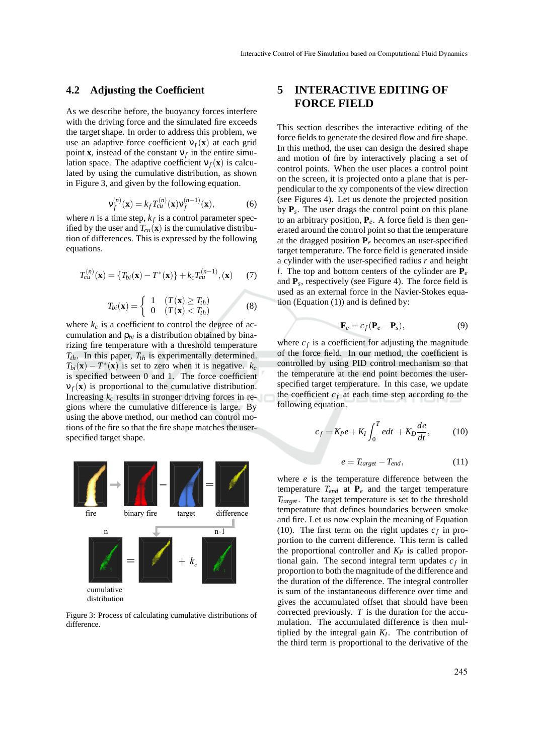#### **4.2 Adjusting the Coefficient**

As we describe before, the buoyancy forces interfere with the driving force and the simulated fire exceeds the target shape. In order to address this problem, we use an adaptive force coefficient  $v_f(x)$  at each grid point **x**, instead of the constant  $v_f$  in the entire simulation space. The adaptive coefficient  $v_f(\mathbf{x})$  is calculated by using the cumulative distribution, as shown in Figure 3, and given by the following equation.

$$
\mathbf{v}_f^{(n)}(\mathbf{x}) = k_f T_{cu}^{(n)}(\mathbf{x}) \mathbf{v}_f^{(n-1)}(\mathbf{x}),\tag{6}
$$

where *n* is a time step,  $k_f$  is a control parameter specified by the user and  $T_{cu}(\mathbf{x})$  is the cumulative distribution of differences. This is expressed by the following equations.

$$
T_{cu}^{(n)}(\mathbf{x}) = \{T_{bi}(\mathbf{x}) - T^*(\mathbf{x})\} + k_c T_{cu}^{(n-1)}, (\mathbf{x})
$$
 (7)

$$
T_{bi}(\mathbf{x}) = \begin{cases} 1 & (T(\mathbf{x}) \ge T_{th}) \\ 0 & (T(\mathbf{x}) < T_{th}) \end{cases}
$$
 (8)

where  $k_c$  is a coefficient to control the degree of accumulation and  $\rho_{bi}$  is a distribution obtained by binarizing fire temperature with a threshold temperature  $T_{th}$ . In this paper,  $T_{th}$  is experimentally determined.  $T_{bi}(\mathbf{x}) - T^*(\mathbf{x})$  is set to zero when it is negative.  $k_c$ is specified between 0 and 1. The force coefficient  $v_f(\mathbf{x})$  is proportional to the cumulative distribution. Increasing  $k_c$  results in stronger driving forces in regions where the cumulative difference is large. By using the above method, our method can control motions of the fire so that the fire shape matches the userspecified target shape.



Figure 3: Process of calculating cumulative distributions of difference.

## **5 INTERACTIVE EDITING OF FORCE FIELD**

This section describes the interactive editing of the force fields to generate the desired flow and fire shape. In this method, the user can design the desired shape and motion of fire by interactively placing a set of control points. When the user places a control point on the screen, it is projected onto a plane that is perpendicular to the xy components of the view direction (see Figures 4). Let us denote the projected position by **P***<sup>s</sup>* . The user drags the control point on this plane to an arbitrary position, **P***e*. A force field is then generated around the control point so that the temperature at the dragged position  $P_e$  becomes an user-specified target temperature. The force field is generated inside a cylinder with the user-specified radius *r* and height *l*. The top and bottom centers of the cylinder are **P***<sup>e</sup>* and  $P_s$ , respectively (see Figure 4). The force field is used as an external force in the Navier-Stokes equation (Equation (1)) and is defined by:

$$
\mathbf{F}_e = c_f (\mathbf{P}_e - \mathbf{P}_s), \tag{9}
$$

where  $c_f$  is a coefficient for adjusting the magnitude of the force field. In our method, the coefficient is controlled by using PID control mechanism so that the temperature at the end point becomes the userspecified target temperature. In this case, we update the coefficient  $c_f$  at each time step according to the following equation.

$$
c_f = K_P e + K_I \int_0^T e dt + K_D \frac{de}{dt}, \qquad (10)
$$

$$
e = T_{target} - T_{end}, \tag{11}
$$

where *e* is the temperature difference between the temperature  $T_{end}$  at  $\mathbf{P}_e$  and the target temperature *Ttarget* . The target temperature is set to the threshold temperature that defines boundaries between smoke and fire. Let us now explain the meaning of Equation (10). The first term on the right updates  $c_f$  in proportion to the current difference. This term is called the proportional controller and *K<sup>P</sup>* is called proportional gain. The second integral term updates  $c_f$  in proportion to both the magnitude of the difference and the duration of the difference. The integral controller is sum of the instantaneous difference over time and gives the accumulated offset that should have been corrected previously. *T* is the duration for the accumulation. The accumulated difference is then multiplied by the integral gain  $K_I$ . The contribution of the third term is proportional to the derivative of the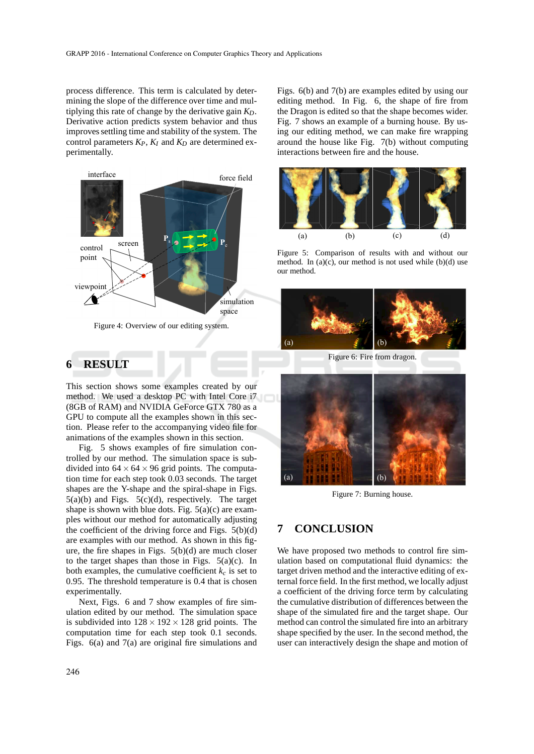process difference. This term is calculated by determining the slope of the difference over time and multiplying this rate of change by the derivative gain *KD*. Derivative action predicts system behavior and thus improves settling time and stability of the system. The control parameters  $K_P$ ,  $K_I$  and  $K_D$  are determined experimentally.



Figure 4: Overview of our editing system.

### **6 RESULT**

This section shows some examples created by our method. We used a desktop PC with Intel Core i7 (8GB of RAM) and NVIDIA GeForce GTX 780 as a GPU to compute all the examples shown in this section. Please refer to the accompanying video file for animations of the examples shown in this section.

Fig. 5 shows examples of fire simulation controlled by our method. The simulation space is subdivided into  $64 \times 64 \times 96$  grid points. The computation time for each step took 0.03 seconds. The target shapes are the Y-shape and the spiral-shape in Figs.  $5(a)(b)$  and Figs.  $5(c)(d)$ , respectively. The target shape is shown with blue dots. Fig.  $5(a)(c)$  are examples without our method for automatically adjusting the coefficient of the driving force and Figs.  $5(b)(d)$ are examples with our method. As shown in this figure, the fire shapes in Figs. 5(b)(d) are much closer to the target shapes than those in Figs.  $5(a)(c)$ . In both examples, the cumulative coefficient  $k_c$  is set to 0.95. The threshold temperature is 0.4 that is chosen experimentally.

Next, Figs. 6 and 7 show examples of fire simulation edited by our method. The simulation space is subdivided into  $128 \times 192 \times 128$  grid points. The computation time for each step took 0.1 seconds. Figs. 6(a) and 7(a) are original fire simulations and Figs. 6(b) and 7(b) are examples edited by using our editing method. In Fig. 6, the shape of fire from the Dragon is edited so that the shape becomes wider. Fig. 7 shows an example of a burning house. By using our editing method, we can make fire wrapping around the house like Fig. 7(b) without computing interactions between fire and the house.



Figure 5: Comparison of results with and without our method. In  $(a)(c)$ , our method is not used while  $(b)(d)$  use our method.



Figure 6: Fire from dragon.



Figure 7: Burning house.

### **7 CONCLUSION**

We have proposed two methods to control fire simulation based on computational fluid dynamics: the target driven method and the interactive editing of external force field. In the first method, we locally adjust a coefficient of the driving force term by calculating the cumulative distribution of differences between the shape of the simulated fire and the target shape. Our method can control the simulated fire into an arbitrary shape specified by the user. In the second method, the user can interactively design the shape and motion of